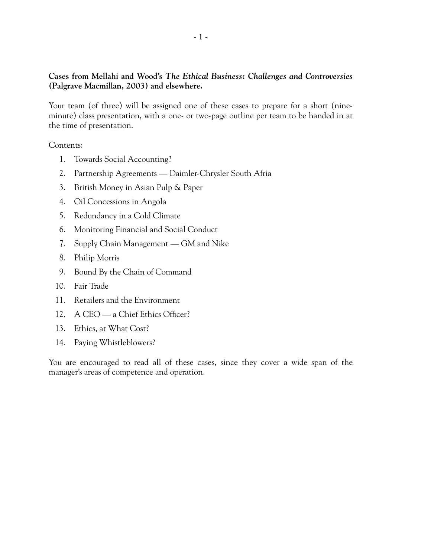**Cases from Mellahi and Wood's** *The Ethical Business: Challenges and Controversies* **(Palgrave Macmillan, 2003) and elsewhere.**

Your team (of three) will be assigned one of these cases to prepare for a short (nineminute) class presentation, with a one- or two-page outline per team to be handed in at the time of presentation.

Contents:

- 1. Towards Social Accounting?
- 2. Partnership Agreements Daimler-Chrysler South Afria
- 3. British Money in Asian Pulp & Paper
- 4. Oil Concessions in Angola
- 5. Redundancy in a Cold Climate
- 6. Monitoring Financial and Social Conduct
- 7. Supply Chain Management GM and Nike
- 8. Philip Morris
- 9. Bound By the Chain of Command
- 10. Fair Trade
- 11. Retailers and the Environment
- 12. A CEO a Chief Ethics Officer?
- 13. Ethics, at What Cost?
- 14. Paying Whistleblowers?

You are encouraged to read all of these cases, since they cover a wide span of the manager's areas of competence and operation.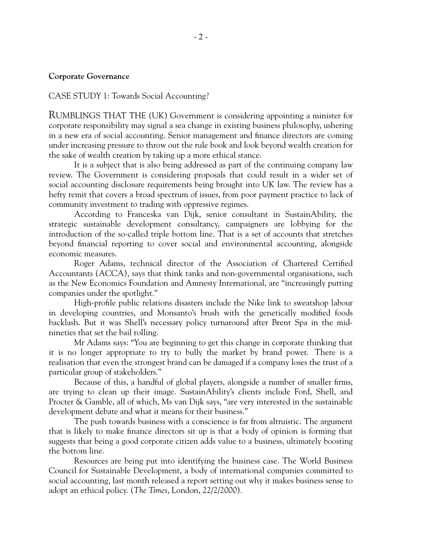## **Corporate Governance**

# CASE STUDY 1: Towards Social Accounting?

RUMBLINGS THAT THE (UK) Government is considering appointing a minister for corporate responsibility may signal a sea change in existing business philosophy, ushering in a new era of social accounting. Senior management and finance directors are coming under increasing pressure to throw out the rule book and look beyond wealth creation for the sake of wealth creation by taking up a more ethical stance.

It is a subject that is also being addressed as part of the continuing company law review. The Government is considering proposals that could result in a wider set of social accounting disclosure requirements being brought into UK law. The review has a hefty remit that covers a broad spectrum of issues, from poor payment practice to lack of community investment to trading with oppressive regimes.

According to Franceska van Dijk, senior consultant in SustainAbility, the strategic sustainable development consultancy, campaigners are lobbying for the introduction of the so-called triple bottom line. That is a set of accounts that stretches beyond financial reporting to cover social and environmental accounting, alongside economic measures.

Roger Adams, technical director of the Association of Chartered Certified Accountants (ACCA), says that think tanks and non-governmental organisations, such as the New Economics Foundation and Amnesty International, are "increasingly putting companies under the spotlight."

High-profile public relations disasters include the Nike link to sweatshop labour in developing countries, and Monsanto's brush with the genetically modified foods backlash. But it was Shell's necessary policy turnaround after Brent Spa in the midnineties that set the bail rolling.

Mr Adams says: "You are beginning to get this change in corporate thinking that it is no longer appropriate to try to bully the market by brand power. There is a realisation that even the strongest brand can be damaged if a company loses the trust of a particular group of stakeholders."

Because of this, a handful of global players, alongside a number of smaller firms, are trying to clean up their image. SustainAbility's clients include Ford, Shell, and Procter & Gamble, all of which, Ms van Dijk says, "are very interested in the sustainable development debate and what it means for their business."

The push towards business with a conscience is far from altruistic. The argument that is likely to make finance directors sit up is that a body of opinion is forming that suggests that being a good corporate citizen adds value to a business, ultimately boosting the bottom line.

Resources are being put into identifying the business case. The World Business Council for Sustainable Development, a body of international companies committed to social accounting, last month released a report setting out why it makes business sense to adopt an ethical policy. (*The Times*, London, 22/2/2000).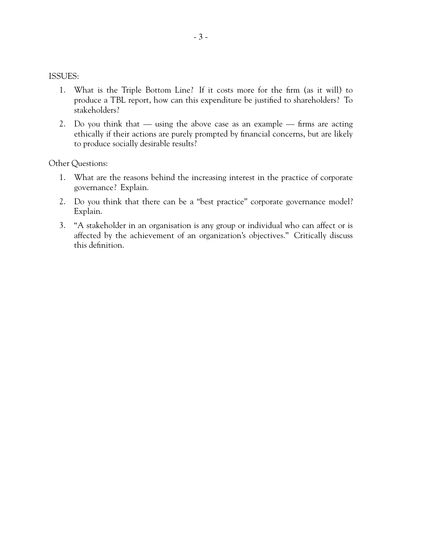# ISSUES:

- 1. What is the Triple Bottom Line? If it costs more for the firm (as it will) to produce a TBL report, how can this expenditure be justified to shareholders? To stakeholders?
- 2. Do you think that using the above case as an example firms are acting ethically if their actions are purely prompted by financial concerns, but are likely to produce socially desirable results?

Other Questions:

- 1. What are the reasons behind the increasing interest in the practice of corporate governance? Explain.
- 2. Do you think that there can be a "best practice" corporate governance model? Explain.
- 3. "A stakeholder in an organisation is any group or individual who can affect or is affected by the achievement of an organization's objectives." Critically discuss this definition.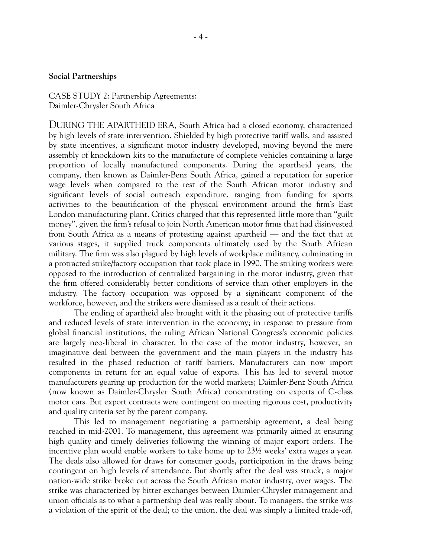#### **Social Partnerships**

CASE STUDY 2: Partnership Agreements: Daimler-Chrysler South Africa

DURING THE APARTHEID ERA, South Africa had a closed economy, characterized by high levels of state intervention. Shielded by high protective tariff walls, and assisted by state incentives, a significant motor industry developed, moving beyond the mere assembly of knockdown kits to the manufacture of complete vehicles containing a large proportion of locally manufactured components. During the apartheid years, the company, then known as Daimler-Benz South Africa, gained a reputation for superior wage levels when compared to the rest of the South African motor industry and significant levels of social outreach expenditure, ranging from funding for sports activities to the beautification of the physical environment around the firm's East London manufacturing plant. Critics charged that this represented little more than "guilt money", given the firm's refusal to join North American motor firms that had disinvested from South Africa as a means of protesting against apartheid — and the fact that at various stages, it supplied truck components ultimately used by the South African military. The firm was also plagued by high levels of workplace militancy, culminating in a protracted strike/factory occupation that took place in 1990. The striking workers were opposed to the introduction of centralized bargaining in the motor industry, given that the firm offered considerably better conditions of service than other employers in the industry. The factory occupation was opposed by a significant component of the workforce, however, and the strikers were dismissed as a result of their actions.

The ending of apartheid also brought with it the phasing out of protective tariffs and reduced levels of state intervention in the economy; in response to pressure from global financial institutions, the ruling African National Congress's economic policies are largely neo-liberal in character. In the case of the motor industry, however, an imaginative deal between the government and the main players in the industry has resulted in the phased reduction of tariff barriers. Manufacturers can now import components in return for an equal value of exports. This has led to several motor manufacturers gearing up production for the world markets; Daimler-Benz South Africa (now known as Daimler-Chrysler South Africa) concentrating on exports of C-class motor cars. But export contracts were contingent on meeting rigorous cost, productivity and quality criteria set by the parent company.

This led to management negotiating a partnership agreement, a deal being reached in mid-2001. To management, this agreement was primarily aimed at ensuring high quality and timely deliveries following the winning of major export orders. The incentive plan would enable workers to take home up to 23½ weeks' extra wages a year. The deals also allowed for draws for consumer goods, participation in the draws being contingent on high levels of attendance. But shortly after the deal was struck, a major nation-wide strike broke out across the South African motor industry, over wages. The strike was characterized by bitter exchanges between Daimler-Chrysler management and union officials as to what a partnership deal was really about. To managers, the strike was a violation of the spirit of the deal; to the union, the deal was simply a limited trade-off,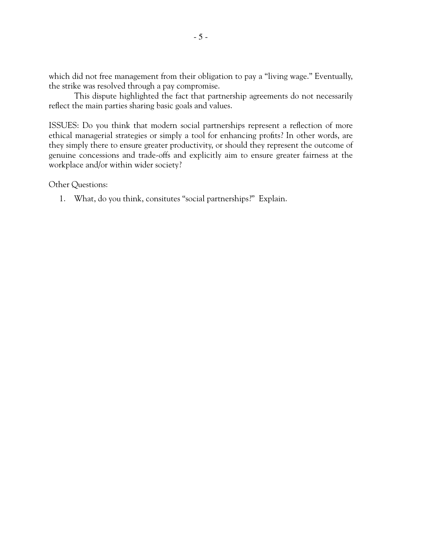which did not free management from their obligation to pay a "living wage." Eventually, the strike was resolved through a pay compromise.

This dispute highlighted the fact that partnership agreements do not necessarily reflect the main parties sharing basic goals and values.

ISSUES: Do you think that modern social partnerships represent a reflection of more ethical managerial strategies or simply a tool for enhancing profits? In other words, are they simply there to ensure greater productivity, or should they represent the outcome of genuine concessions and trade-offs and explicitly aim to ensure greater fairness at the workplace and/or within wider society?

Other Questions:

1. What, do you think, consitutes "social partnerships?" Explain.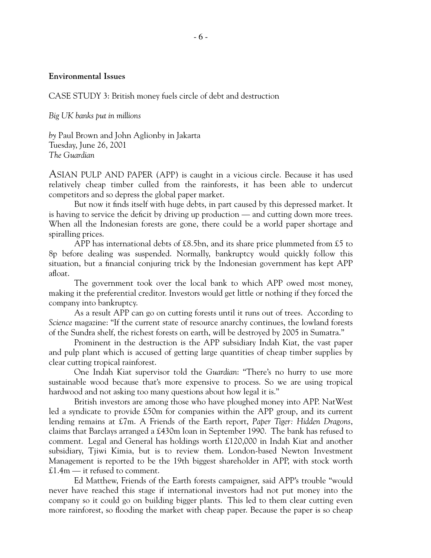#### **Environmental Issues**

CASE STUDY 3: British money fuels circle of debt and destruction

*Big UK banks put in millions*

*by* Paul Brown and John Aglionby in Jakarta Tuesday, June 26, 2001 *The Guardian*

ASIAN PULP AND PAPER (APP) is caught in a vicious circle. Because it has used relatively cheap timber culled from the rainforests, it has been able to undercut competitors and so depress the global paper market.

But now it finds itself with huge debts, in part caused by this depressed market. It is having to service the deficit by driving up production — and cutting down more trees. When all the Indonesian forests are gone, there could be a world paper shortage and spiralling prices.

APP has international debts of £8.5bn, and its share price plummeted from £5 to 8p before dealing was suspended. Normally, bankruptcy would quickly follow this situation, but a financial conjuring trick by the Indonesian government has kept APP afloat.

The government took over the local bank to which APP owed most money, making it the preferential creditor. Investors would get little or nothing if they forced the company into bankruptcy.

As a result APP can go on cutting forests until it runs out of trees. According to *Science* magazine: "If the current state of resource anarchy continues, the lowland forests of the Sundra shelf, the richest forests on earth, will be destroyed by 2005 in Sumatra."

Prominent in the destruction is the APP subsidiary Indah Kiat, the vast paper and pulp plant which is accused of getting large quantities of cheap timber supplies by clear cutting tropical rainforest.

One Indah Kiat supervisor told the *Guardian*: "There's no hurry to use more sustainable wood because that's more expensive to process. So we are using tropical hardwood and not asking too many questions about how legal it is."

British investors are among those who have ploughed money into APP. NatWest led a syndicate to provide £50m for companies within the APP group, and its current lending remains at £7m. A Friends of the Earth report, *Paper Tiger: Hidden Dragons*, claims that Barclays arranged a £430m loan in September 1990. The bank has refused to comment. Legal and General has holdings worth £120,000 in Indah Kiat and another subsidiary, Tjiwi Kimia, but is to review them. London-based Newton Investment Management is reported to be the 19th biggest shareholder in APP, with stock worth £1.4m — it refused to comment.

Ed Matthew, Friends of the Earth forests campaigner, said APP's trouble "would never have reached this stage if international investors had not put money into the company so it could go on building bigger plants. This led to them clear cutting even more rainforest, so flooding the market with cheap paper. Because the paper is so cheap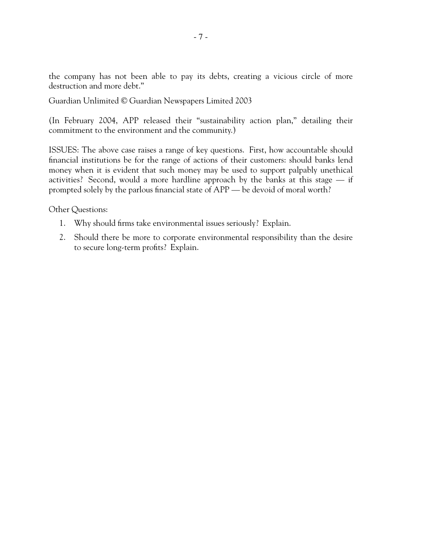the company has not been able to pay its debts, creating a vicious circle of more destruction and more debt."

Guardian Unlimited © Guardian Newspapers Limited 2003

(In February 2004, APP released their "sustainability action plan," detailing their commitment to the environment and the community.)

ISSUES: The above case raises a range of key questions. First, how accountable should financial institutions be for the range of actions of their customers: should banks lend money when it is evident that such money may be used to support palpably unethical activities? Second, would a more hardline approach by the banks at this stage — if prompted solely by the parlous financial state of APP — be devoid of moral worth?

Other Questions:

- 1. Why should firms take environmental issues seriously? Explain.
- 2. Should there be more to corporate environmental responsibility than the desire to secure long-term profits? Explain.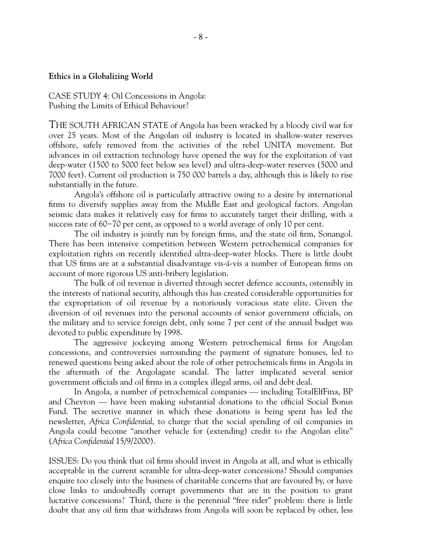# **Ethics in a Globalizing World**

CASE STUDY 4: Oil Concessions in Angola: Pushing the Limits of Ethical Behaviour?

THE SOUTH AFRICAN STATE of Angola has been wracked by a bloody civil war for over 25 years. Most of the Angolan oil industry is located in shallow-water reserves offshore, safely removed from the activities of the rebel UNITA movement. But advances in oil extraction technology have opened the way for the exploitation of vast deep-water (1500 to 5000 feet below sea level) and ultra-deep-water reserves (5000 and 7000 feet). Current oil production is 750 000 barrels a day, although this is likely to rise substantially in the future.

Angola's offshore oil is particularly attractive owing to a desire by international firms to diversify supplies away from the Middle East and geological factors. Angolan seismic data makes it relatively easy for firms to accurately target their drilling, with a success rate of 60−70 per cent, as opposed to a world average of only 10 per cent.

The oil industry is jointly run by foreign firms, and the state oil firm, Sonangol. There has been intensive competition between Western petrochemical companies for exploitation rights on recently identified ultra-deep-water blocks. There is little doubt that US firms are at a substantial disadvantage vis-á-vis a number of European firms on account of more rigorous US anti-bribery legislation.

The bulk of oil revenue is diverted through secret defence accounts, ostensibly in the interests of national security, although this has created considerable opportunities for the expropriation of oil revenue by a notoriously voracious state elite. Given the diversion of oil revenues into the personal accounts of senior government officials, on the military and to service foreign debt, only some 7 per cent of the annual budget was devoted to public expenditure by 1998.

The aggressive jockeying among Western petrochemical firms for Angolan concessions, and controversies surrounding the payment of signature bonuses, led to renewed questions being asked about the role of other petrochemicals firms in Angola in the aftermath of the Angolagate scandal. The latter implicated several senior government officials and oil firms in a complex illegal arms, oil and debt deal.

In Angola, a number of petrochemical companies — including TotalElfFina, BP and Chevron — have been making substantial donations to the official Social Bonus Fund. The secretive manner in which these donations is being spent has led the newsletter, *Africa Confidential*, to charge that the social spending of oil companies in Angola could become "another vehicle for (extending) credit to the Angolan elite" (*Africa Confidential* 15/9/2000).

ISSUES: Do you think that oil firms should invest in Angola at all, and what is ethically acceptable in the current scramble for ultra-deep-water concessions? Should companies enquire too closely into the business of charitable concerns that are favoured by, or have close links to undoubtedly corrupt governments that are in the position to grant lucrative concessions? Third, there is the perennial "free rider" problem: there is little doubt that any oil firm that withdraws from Angola will soon be replaced by other, less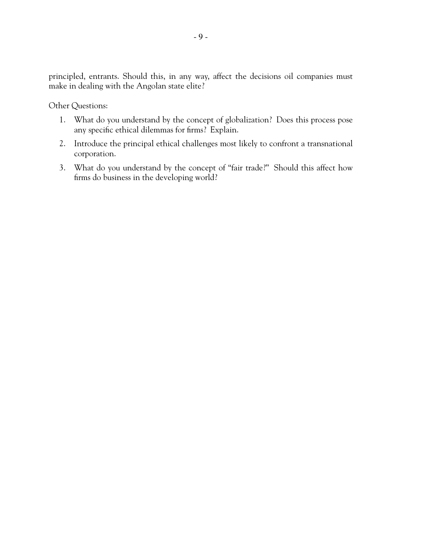principled, entrants. Should this, in any way, affect the decisions oil companies must make in dealing with the Angolan state elite?

Other Questions:

- 1. What do you understand by the concept of globalization? Does this process pose any specific ethical dilemmas for firms? Explain.
- 2. Introduce the principal ethical challenges most likely to confront a transnational corporation.
- 3. What do you understand by the concept of "fair trade?" Should this affect how firms do business in the developing world?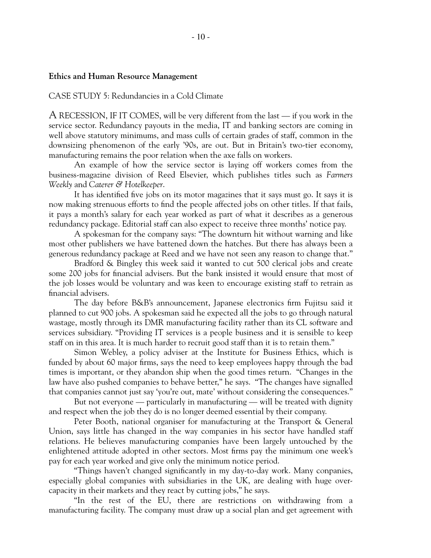#### **Ethics and Human Resource Management**

# CASE STUDY 5: Redundancies in a Cold Climate

A RECESSION, IF IT COMES, will be very different from the last — if you work in the service sector. Redundancy payouts in the media, IT and banking sectors are coming in well above statutory minimums, and mass culls of certain grades of staff, common in the downsizing phenomenon of the early '90s, are out. But in Britain's two-tier economy, manufacturing remains the poor relation when the axe falls on workers.

An example of how the service sector is laying off workers comes from the business-magazine division of Reed Elsevier, which publishes titles such as *Farmers Weekly* and *Caterer & Hotelkeeper*.

It has identified five jobs on its motor magazines that it says must go. It says it is now making strenuous efforts to find the people affected jobs on other titles. If that fails, it pays a month's salary for each year worked as part of what it describes as a generous redundancy package. Editorial staff can also expect to receive three months' notice pay.

A spokesman for the company says: "The downturn hit without warning and like most other publishers we have battened down the hatches. But there has always been a generous redundancy package at Reed and we have not seen any reason to change that."

Bradford & Bingley this week said it wanted to cut 500 clerical jobs and create some 200 jobs for financial advisers. But the bank insisted it would ensure that most of the job losses would be voluntary and was keen to encourage existing staff to retrain as financial advisers.

The day before B&B's announcement, Japanese electronics firm Fujitsu said it planned to cut 900 jobs. A spokesman said he expected all the jobs to go through natural wastage, mostly through its DMR manufacturing facility rather than its CL software and services subsidiary. "Providing IT services is a people business and it is sensible to keep staff on in this area. It is much harder to recruit good staff than it is to retain them."

Simon Webley, a policy adviser at the Institute for Business Ethics, which is funded by about 60 major firms, says the need to keep employees happy through the bad times is important, or they abandon ship when the good times return. "Changes in the law have also pushed companies to behave better," he says. "The changes have signalled that companies cannot just say 'you're out, mate' without considering the consequences."

But not everyone — particularly in manufacturing — will be treated with dignity and respect when the job they do is no longer deemed essential by their company.

Peter Booth, national organiser for manufacturing at the Transport & General Union, says little has changed in the way companies in his sector have handled staff relations. He believes manufacturing companies have been largely untouched by the enlightened attitude adopted in other sectors. Most firms pay the minimum one week's pay for each year worked and give only the minimum notice period.

"Things haven't changed significantly in my day-to-day work. Many conpanies, especially global companies with subsidiaries in the UK, are dealing with huge overcapacity in their markets and they react by cutting jobs," he says.

"In the rest of the EU, there are restrictions on withdrawing from a manufacturing facility. The company must draw up a social plan and get agreement with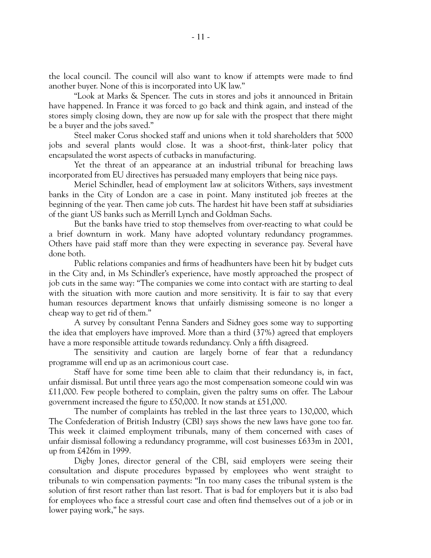the local council. The council will also want to know if attempts were made to find another buyer. None of this is incorporated into UK law."

"Look at Marks & Spencer. The cuts in stores and jobs it announced in Britain have happened. In France it was forced to go back and think again, and instead of the stores simply closing down, they are now up for sale with the prospect that there might be a buyer and the jobs saved."

Steel maker Corus shocked staff and unions when it told shareholders that 5000 jobs and several plants would close. It was a shoot-first, think-later policy that encapsulated the worst aspects of cutbacks in manufacturing.

Yet the threat of an appearance at an industrial tribunal for breaching laws incorporated from EU directives has persuaded many employers that being nice pays.

Meriel Schindler, head of employment law at solicitors Withers, says investment banks in the City of London are a case in point. Many instituted job freezes at the beginning of the year. Then came job cuts. The hardest hit have been staff at subsidiaries of the giant US banks such as Merrill Lynch and Goldman Sachs.

But the banks have tried to stop themselves from over-reacting to what could be a brief downturn in work. Many have adopted voluntary redundancy programmes. Others have paid staff more than they were expecting in severance pay. Several have done both.

Public relations companies and firms of headhunters have been hit by budget cuts in the City and, in Ms Schindler's experience, have mostly approached the prospect of job cuts in the same way: "The companies we come into contact with are starting to deal with the situation with more caution and more sensitivity. It is fair to say that every human resources department knows that unfairly dismissing someone is no longer a cheap way to get rid of them."

A survey by consultant Penna Sanders and Sidney goes some way to supporting the idea that employers have improved. More than a third (37%) agreed that employers have a more responsible attitude towards redundancy. Only a fifth disagreed.

The sensitivity and caution are largely borne of fear that a redundancy programme will end up as an acrimonious court case.

Staff have for some time been able to claim that their redundancy is, in fact, unfair dismissal. But until three years ago the most compensation someone could win was £11,000. Few people bothered to complain, given the paltry sums on offer. The Labour government increased the figure to £50,000. It now stands at £51,000.

The number of complaints has trebled in the last three years to 130,000, which The Confederation of British Industry (CBI) says shows the new laws have gone too far. This week it claimed employment tribunals, many of them concerned with cases of unfair dismissal following a redundancy programme, will cost businesses £633m in 2001, up from £426m in 1999.

Digby Jones, director general of the CBI, said employers were seeing their consultation and dispute procedures bypassed by employees who went straight to tribunals to win compensation payments: "In too many cases the tribunal system is the solution of first resort rather than last resort. That is bad for employers but it is also bad for employees who face a stressful court case and often find themselves out of a job or in lower paying work," he says.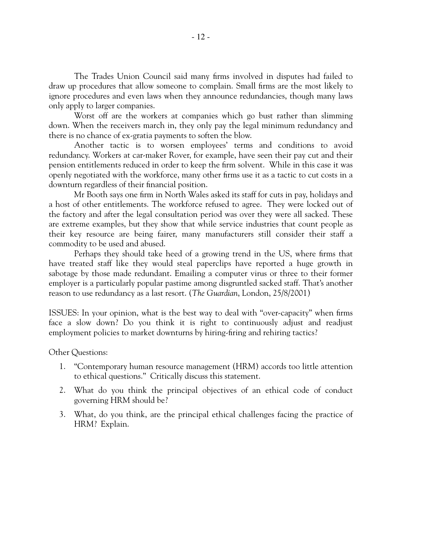The Trades Union Council said many firms involved in disputes had failed to draw up procedures that allow someone to complain. Small firms are the most likely to ignore procedures and even laws when they announce redundancies, though many laws only apply to larger companies.

Worst off are the workers at companies which go bust rather than slimming down. When the receivers march in, they only pay the legal minimum redundancy and there is no chance of ex-gratia payments to soften the blow.

Another tactic is to worsen employees' terms and conditions to avoid redundancy. Workers at car-maker Rover, for example, have seen their pay cut and their pension entitlements reduced in order to keep the firm solvent. While in this case it was openly negotiated with the workforce, many other firms use it as a tactic to cut costs in a downturn regardless of their financial position.

Mr Booth says one firm in North Wales asked its staff for cuts in pay, holidays and a host of other entitlements. The workforce refused to agree. They were locked out of the factory and after the legal consultation period was over they were all sacked. These are extreme examples, but they show that while service industries that count people as their key resource are being fairer, many manufacturers still consider their staff a commodity to be used and abused.

Perhaps they should take heed of a growing trend in the US, where firms that have treated staff like they would steal paperclips have reported a huge growth in sabotage by those made redundant. Emailing a computer virus or three to their former employer is a particularly popular pastime among disgruntled sacked staff. That's another reason to use redundancy as a last resort. (*The Guardian*, London, 25/8/2001)

ISSUES: In your opinion, what is the best way to deal with "over-capacity" when firms face a slow down? Do you think it is right to continuously adjust and readjust employment policies to market downturns by hiring-firing and rehiring tactics?

Other Questions:

- 1. "Contemporary human resource management (HRM) accords too little attention to ethical questions." Critically discuss this statement.
- 2. What do you think the principal objectives of an ethical code of conduct governing HRM should be?
- 3. What, do you think, are the principal ethical challenges facing the practice of HRM? Explain.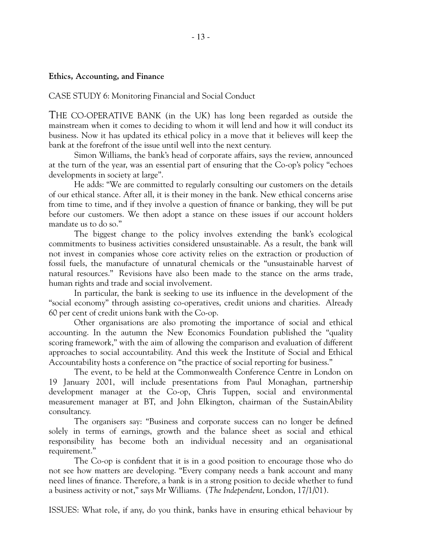# **Ethics, Accounting, and Finance**

CASE STUDY 6: Monitoring Financial and Social Conduct

THE CO-OPERATIVE BANK (in the UK) has long been regarded as outside the mainstream when it comes to deciding to whom it will lend and how it will conduct its business. Now it has updated its ethical policy in a move that it believes will keep the bank at the forefront of the issue until well into the next century.

Simon Williams, the bank's head of corporate affairs, says the review, announced at the turn of the year, was an essential part of ensuring that the Co-op's policy "echoes developments in society at large".

He adds: "We are committed to regularly consulting our customers on the details of our ethical stance. After all, it is their money in the bank. New ethical concerns arise from time to time, and if they involve a question of finance or banking, they will be put before our customers. We then adopt a stance on these issues if our account holders mandate us to do so."

The biggest change to the policy involves extending the bank's ecological commitments to business activities considered unsustainable. As a result, the bank will not invest in companies whose core activity relies on the extraction or production of fossil fuels, the manufacture of unnatural chemicals or the "unsustainable harvest of natural resources." Revisions have also been made to the stance on the arms trade, human rights and trade and social involvement.

In particular, the bank is seeking to use its influence in the development of the "social economy" through assisting co-operatives, credit unions and charities. Already 60 per cent of credit unions bank with the Co-op.

Other organisations are also promoting the importance of social and ethical accounting. In the autumn the New Economics Foundation published the "quality scoring framework," with the aim of allowing the comparison and evaluation of different approaches to social accountability. And this week the Institute of Social and Ethical Accountability hosts a conference on "the practice of social reporting for business."

The event, to be held at the Commonwealth Conference Centre in London on 19 January 2001, will include presentations from Paul Monaghan, partnership development manager at the Co-op, Chris Tuppen, social and environmental measurement manager at BT, and John Elkington, chairman of the SustainAbility consultancy.

The organisers say: "Business and corporate success can no longer be defined solely in terms of earnings, growth and the balance sheet as social and ethical responsibility has become both an individual necessity and an organisational requirement."

The Co-op is confident that it is in a good position to encourage those who do not see how matters are developing. "Every company needs a bank account and many need lines of finance. Therefore, a bank is in a strong position to decide whether to fund a business activity or not," says Mr Williams. (*The Independent*, London, 17/1/01).

ISSUES: What role, if any, do you think, banks have in ensuring ethical behaviour by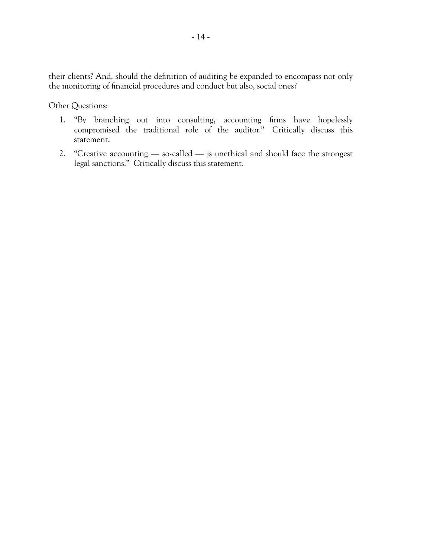their clients? And, should the definition of auditing be expanded to encompass not only the monitoring of financial procedures and conduct but also, social ones?

Other Questions:

- 1. "By branching out into consulting, accounting firms have hopelessly compromised the traditional role of the auditor." Critically discuss this statement.
- 2. "Creative accounting so-called is unethical and should face the strongest legal sanctions." Critically discuss this statement.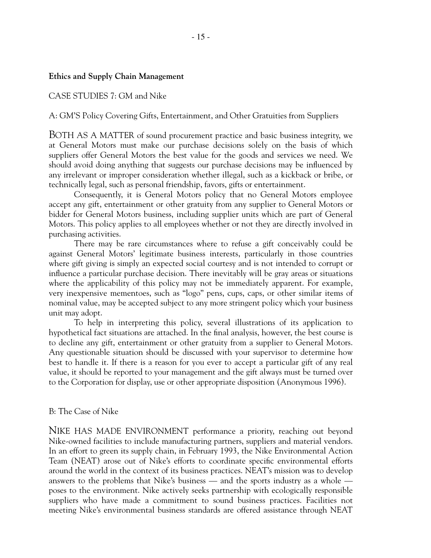## **Ethics and Supply Chain Management**

# CASE STUDIES 7: GM and Nike

A: GM'S Policy Covering Gifts, Entertainment, and Other Gratuities from Suppliers

BOTH AS A MATTER of sound procurement practice and basic business integrity, we at General Motors must make our purchase decisions solely on the basis of which suppliers offer General Motors the best value for the goods and services we need. We should avoid doing anything that suggests our purchase decisions may be influenced by any irrelevant or improper consideration whether illegal, such as a kickback or bribe, or technically legal, such as personal friendship, favors, gifts or entertainment.

Consequently, it is General Motors policy that no General Motors employee accept any gift, entertainment or other gratuity from any supplier to General Motors or bidder for General Motors business, including supplier units which are part of General Motors. This policy applies to all employees whether or not they are directly involved in purchasing activities.

There may be rare circumstances where to refuse a gift conceivably could be against General Motors' legitimate business interests, particularly in those countries where gift giving is simply an expected social courtesy and is not intended to corrupt or influence a particular purchase decision. There inevitably will be gray areas or situations where the applicability of this policy may not be immediately apparent. For example, very inexpensive mementoes, such as "logo" pens, cups, caps, or other similar items of nominal value, may be accepted subject to any more stringent policy which your business unit may adopt.

To help in interpreting this policy, several illustrations of its application to hypothetical fact situations are attached. In the final analysis, however, the best course is to decline any gift, entertainment or other gratuity from a supplier to General Motors. Any questionable situation should be discussed with your supervisor to determine how best to handle it. If there is a reason for you ever to accept a particular gift of any real value, it should be reported to your management and the gift always must be turned over to the Corporation for display, use or other appropriate disposition (Anonymous 1996).

## B: The Case of Nike

NIKE HAS MADE ENVIRONMENT performance a priority, reaching out beyond Nike-owned facilities to include manufacturing partners, suppliers and material vendors. In an effort to green its supply chain, in February 1993, the Nike Environmental Action Team (NEAT) arose out of Nike's efforts to coordinate specific environmental efforts around the world in the context of its business practices. NEAT's mission was to develop answers to the problems that Nike's business — and the sports industry as a whole poses to the environment. Nike actively seeks partnership with ecologically responsible suppliers who have made a commitment to sound business practices. Facilities not meeting Nike's environmental business standards are offered assistance through NEAT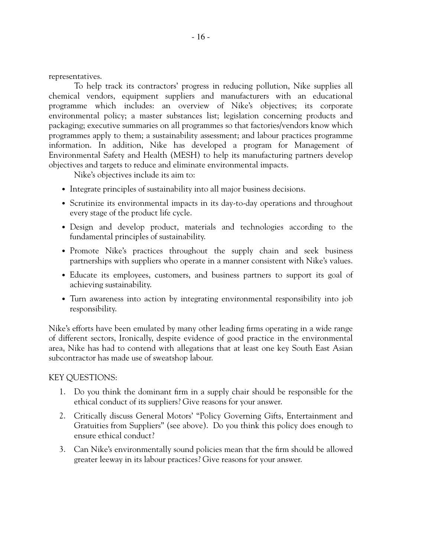representatives.

To help track its contractors' progress in reducing pollution, Nike supplies all chemical vendors, equipment suppliers and manufacturers with an educational programme which includes: an overview of Nike's objectives; its corporate environmental policy; a master substances list; legislation concerning products and packaging; executive summaries on all programmes so that factories/vendors know which programmes apply to them; a sustainability assessment; and labour practices programme information. In addition, Nike has developed a program for Management of Environmental Safety and Health (MESH) to help its manufacturing partners develop objectives and targets to reduce and eliminate environmental impacts.

Nike's objectives include its aim to:

- Integrate principles of sustainability into all major business decisions.
- Scrutinize its environmental impacts in its day-to-day operations and throughout every stage of the product life cycle.
- Design and develop product, materials and technologies according to the fundamental principles of sustainability.
- Promote Nike's practices throughout the supply chain and seek business partnerships with suppliers who operate in a manner consistent with Nike's values.
- Educate its employees, customers, and business partners to support its goal of achieving sustainability.
- Turn awareness into action by integrating environmental responsibility into job responsibility.

Nike's efforts have been emulated by many other leading firms operating in a wide range of different sectors, Ironically, despite evidence of good practice in the environmental area, Nike has had to contend with allegations that at least one key South East Asian subcontractor has made use of sweatshop labour.

# KEY QUESTIONS:

- 1. Do you think the dominant firm in a supply chair should be responsible for the ethical conduct of its suppliers? Give reasons for your answer.
- 2. Critically discuss General Motors' "Policy Governing Gifts, Entertainment and Gratuities from Suppliers" (see above). Do you think this policy does enough to ensure ethical conduct?
- 3. Can Nike's environmentally sound policies mean that the firm should be allowed greater leeway in its labour practices? Give reasons for your answer.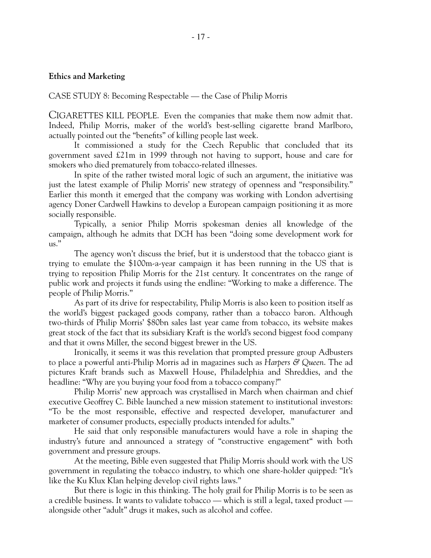# **Ethics and Marketing**

CASE STUDY 8: Becoming Respectable — the Case of Philip Morris

CIGARETTES KILL PEOPLE. Even the companies that make them now admit that. Indeed, Philip Morris, maker of the world's best-selling cigarette brand Marlboro, actually pointed out the "benefits" of killing people last week.

It commissioned a study for the Czech Republic that concluded that its government saved £21m in 1999 through not having to support, house and care for smokers who died prematurely from tobacco-related illnesses.

In spite of the rather twisted moral logic of such an argument, the initiative was just the latest example of Philip Morris' new strategy of openness and "responsibility." Earlier this month it emerged that the company was working with London advertising agency Doner Cardwell Hawkins to develop a European campaign positioning it as more socially responsible.

Typically, a senior Philip Morris spokesman denies all knowledge of the campaign, although he admits that DCH has been "doing some development work for  $\mathrm{us}$ ."

The agency won't discuss the brief, but it is understood that the tobacco giant is trying to emulate the \$100m-a-year campaign it has been running in the US that is trying to reposition Philip Morris for the 21st century. It concentrates on the range of public work and projects it funds using the endline: "Working to make a difference. The people of Philip Morris."

As part of its drive for respectability, Philip Morris is also keen to position itself as the world's biggest packaged goods company, rather than a tobacco baron. Although two-thirds of Philip Morris' \$80bn sales last year came from tobacco, its website makes great stock of the fact that its subsidiary Kraft is the world's second biggest food company and that it owns Miller, the second biggest brewer in the US.

Ironically, it seems it was this revelation that prompted pressure group Adbusters to place a powerful anti-Philip Morris ad in magazines such as *Harpers & Queen*. The ad pictures Kraft brands such as Maxwell House, Philadelphia and Shreddies, and the headline: "Why are you buying your food from a tobacco company?"

Philip Morris' new approach was crystallised in March when chairman and chief executive Geoffrey C. Bible launched a new mission statement to institutional investors: "To be the most responsible, effective and respected developer, manufacturer and marketer of consumer products, especially products intended for adults."

He said that only responsible manufacturers would have a role in shaping the industry's future and announced a strategy of "constructive engagement" with both government and pressure groups.

At the meeting, Bible even suggested that Philip Morris should work with the US government in regulating the tobacco industry, to which one share-holder quipped: "It's like the Ku Klux Klan helping develop civil rights laws."

But there is logic in this thinking. The holy grail for Philip Morris is to be seen as a credible business. It wants to validate tobacco — which is still a legal, taxed product alongside other "adult" drugs it makes, such as alcohol and coffee.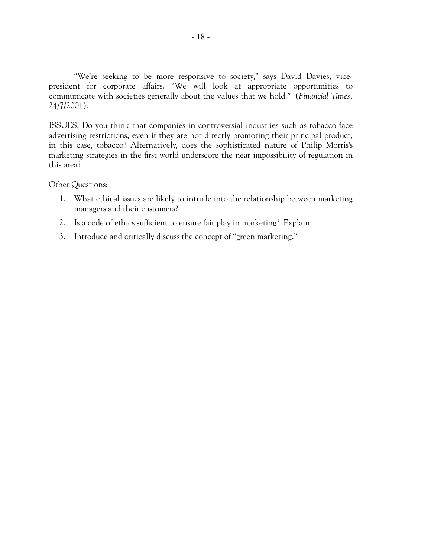"We're seeking to be more responsive to society," says David Davies, vicepresident for corporate affairs. "We will look at appropriate opportunities to communicate with societies generally about the values that we hold." (*Financial Times,* 24/7/2001).

ISSUES: Do you think that companies in controversial industries such as tobacco face advertising restrictions, even if they are not directly promoting their principal product, in this case, tobacco? Alternatively, does the sophisticated nature of Philip Morris's marketing strategies in the first world underscore the near impossibility of regulation in this area?

Other Questions:

- 1. What ethical issues are likely to intrude into the relationship between marketing managers and their customers?
- 2. Is a code of ethics sufficient to ensure fair play in marketing? Explain.
- 3. Introduce and critically discuss the concept of "green marketing."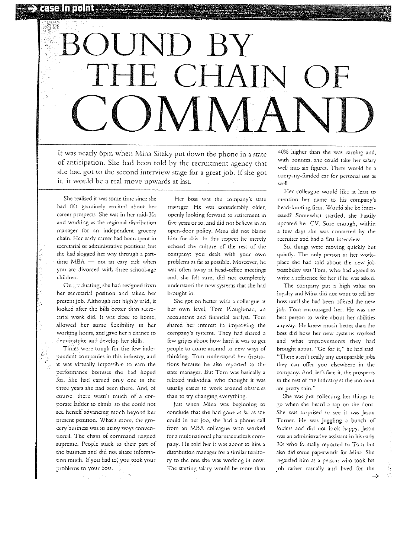**GEESLINDOME** 

# $\Box$  $H$  ( $H$ IM M

It was nearly 6pm when Mina Sitzky put down the phone in a state of anticipation. She had been told by the recruitment agency that she had got to the second interview stage for a great job. If she got it, it would be a real move upwards at last.

She realised it was some time since she had felt genuinely excited about her career prospects. She was in her mid-30s and working as the regional distribution manager for an independent grocery chain. Her early career had been spent in secretarial or administrative positions, but she had slogged her way through a parttime MBA - not an easy task when you are divorced with three school-age children.

On graduating, she had resigned from her secretarial position and taken her present job. Although not highly paid, it looked after the bills better than secretarial work did. It was close to home. allowed her some flexibility in her working hours, and gave her a chance to demonstrate and develop her skills.

Times were tough for the few independent companies in this industry, and it was virtually impossible to earn the performance bonuses she had hoped for. She had carned only one in the three years she had been there. And, of course, there wasn't much of a corporate ladder to climb, so she could not see herself advancing much beyond her present position. What's more, the grocery business was in many ways conventional. The chain of command reigned supreme. People stuck to their part of the business and did not share information much. If you had to, you took your problems to your boss.

 $\mathcal{L}_{\text{max}}$  , and  $\mathcal{L}_{\text{max}}$  , and  $\mathcal{L}_{\text{max}}$ 

Her boss was the company's state manager. He was considerably older, openly looking forward to retirement in five years or so, and did not believe in an open-door policy. Mina did not blame him for this. In this respect he merely echoed the culture of the rest of the company: you dealt with your own problems as far as possible. Moreover, he was often away at head-office meetings and, she felt sure, did not completely understand the new systems that she had brought in.

She got on better with a colleague at her own level, Tom Ploughman, an accountant and financial analyst. Tom shared her interest in improving the company's systems. They had shared a few gripes about how hard it was to get people to come around to new ways of thinking. Tom understood her frustrations because he also reported to the state manager. But Tom was basically a relaxed individual who thought it was usually easier to work around obstacles than to try changing everything.

Just when Mina was beginning to conclude that she had gone as far as she could in her job, she had a phone call from an MBA colleague who worked for a multinational pharmaceuticals company. He told her it was about to hire a distribution manager for a similar territory to the one she was working in now. The starting salary would be more than

40% higher than she was carning and, with bonuses, she could take her salary well into six figures. There would be a company-funded car for personal use as well.

Her colleague would like at least to mention her name to his company's head-hunting firm. Would she be interested? Somewhat startled, she hastily updated her CV. Sure enough, within a few days she was contacted by the recruiter and had a first interview.

So, things were moving quickly but quietly. The only person at her workplace she had told about the new job possibility was Tom, who had agreed to write a reference for her if he was asked.

The company put a high value on loyalty and Mina did not want to tell her boss until she had been offered the new job. Tom encouraged her. He was the best person to write about her abilities anyway. He knew much better than the boss did how her new systems worked and what improvements they had brought about. "Go for it," he had said. "There aren't really any comparable jobs they can offer you elsewhere in the company. And, let's face it, the prospects in the rest of the industry at the moment are pretty thin."

She was just collecting her things to go when she heard a tap on the door. She was surprised to see it was Jason Turner. He was juggling a bunch of folders and did not look happy. Jason was an administrative assistant in his early 20s who formally reported to Tom but also did some paperwork for Mina. She regarded him as a person who took his job rather casually and lived for the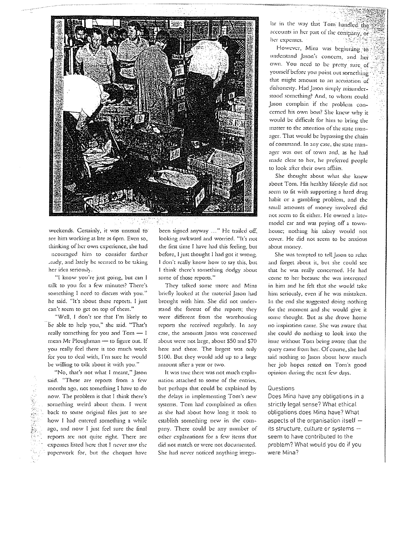

weekends. Certainly, it was unusual to see him working as late as 6pm. Even so, thinking of her own experience, she had ncouraged him to consider further andy, and lately he seemed to be taking her idea seriously.

"I know you're just going, but can I talk to you for a few minutes? There's something I need to discuss with you." he said. "It's about these reports. I just can't seem to get on top of them."

"Well, I don't see that I'm likely to be able to help you," she said. "That's really something for you and Tom - I mean Mr Ploughman - to figure out. If you really feel there is too much work for you to deal with, I'm sure he would be willing to talk about it with you."

"No, that's not what I meant," Jason said. "These are reports from a few months ago, not something I have to do now. The problem is that I think there's something weird about them. I went back to some original files just to see how I had entered something a while ago, and now I just feel sure the final reports are not quite right. There are expenses listed here that I never saw the paperwork for, but the cheques have

been signed anyway ..." He trailed off, looking awkward and worried. "It's not the first time I have had this feeling, but before, I just thought I had got it wrong. I don't really know how to say this, but I think there's something dodgy about some of those reports."

They talked some more and Mina briefly looked at the material Jason had brought with him. She did not understand the format of the reports; they were different from the warehousing reports she received regularly. In any case, the amounts Jason was concerned about were not large, about \$50 and \$70 here and there. The largest was only \$100. But they would add up to a large amount after a year or two.

It was true there was not much explanation attached to some of the entries, but perhaps that could be explained by the delays in implementing Tom's new systems. Tom had complained as often as she had about how long it took to establish something new in the company. There could be any number of other explanations for a few items that did not match or were not documented. She had never noticed anything irregular in the way that Tom handled the accounts in her part of the company, or her expenses. 148293

However, Mina was beginning to understand Jason's concern, and her own. You need to be pretty sure of yourself before you point out something that might amount to an accusation of dishonesty. Had Jason simply misunderstood something? And, to whom could Jason complain if the problem concerned his own boss? She knew why it would be difficult for him to bring the matter to the attention of the state manager. That would be bypassing the chain of command. In any case, the state manager was out of town and, as he had made clear to her, he preferred people to look after their own affairs.

She thought about what she knew about Tom. His healthy lifestyle did not seem to fit with supporting a hard drug habit or a gambling problem, and the small amounts of money involved did not seem to fit either. He owned a latemodel car and was paying off a townhouse; nothing his salary would not cover. He did not seem to be anxious about money.

She was tempted to tell Jason to relax and forget about it, but she could see that he was really concerned. He had come to her because she was interested in him and he felt that she would take him seriously, even if he was mistaken. In the end she suggested doing nothing for the moment and she would give it some thought. But as she drove home no inspiration came. She was aware that she could do nothing to look into the issue without Tom being aware that the query came from her. Of course, she had said nothing to Jason about how much her job hopes rested on Tom's good opinion during the next few days.

#### Questions

Does Mina have any obligations in a strictly legal sense? What ethical obligations does Mina have? What aspects of the organisation itself its structure, culture or systems seem to have contributed to the problem? What would you do if you were Mina?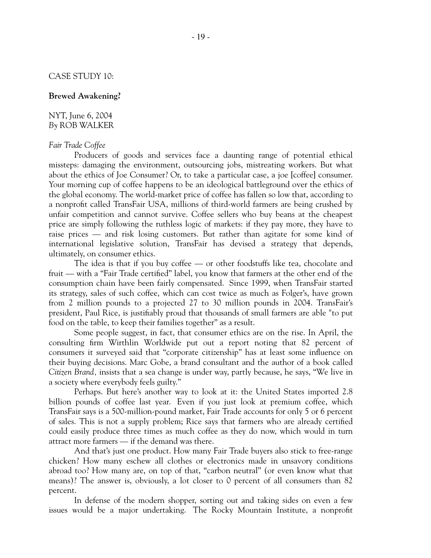# CASE STUDY 10:

#### **Brewed Awakening?**

# NYT, June 6, 2004 *By* ROB WALKER

#### *Fair Trade Coffee*

Producers of goods and services face a daunting range of potential ethical missteps: damaging the environment, outsourcing jobs, mistreating workers. But what about the ethics of Joe Consumer? Or, to take a particular case, a joe [coffee] consumer. Your morning cup of coffee happens to be an ideological battleground over the ethics of the global economy. The world-market price of coffee has fallen so low that, according to a nonprofit called TransFair USA, millions of third-world farmers are being crushed by unfair competition and cannot survive. Coffee sellers who buy beans at the cheapest price are simply following the ruthless logic of markets: if they pay more, they have to raise prices — and risk losing customers. But rather than agitate for some kind of international legislative solution, TransFair has devised a strategy that depends, ultimately, on consumer ethics.

The idea is that if you buy coffee — or other foodstuffs like tea, chocolate and fruit — with a "Fair Trade certified" label, you know that farmers at the other end of the consumption chain have been fairly compensated. Since 1999, when TransFair started its strategy, sales of such coffee, which can cost twice as much as Folger's, have grown from 2 million pounds to a projected 27 to 30 million pounds in 2004. TransFair's president, Paul Rice, is justifiably proud that thousands of small farmers are able "to put food on the table, to keep their families together" as a result.

Some people suggest, in fact, that consumer ethics are on the rise. In April, the consulting firm Wirthlin Worldwide put out a report noting that 82 percent of consumers it surveyed said that "corporate citizenship" has at least some influence on their buying decisions. Marc Gobe, a brand consultant and the author of a book called *Citizen Brand,* insists that a sea change is under way, partly because, he says, "We live in a society where everybody feels guilty."

Perhaps. But here's another way to look at it: the United States imported 2.8 billion pounds of coffee last year. Even if you just look at premium coffee, which TransFair says is a 500-million-pound market, Fair Trade accounts for only 5 or 6 percent of sales. This is not a supply problem; Rice says that farmers who are already certified could easily produce three times as much coffee as they do now, which would in turn attract more farmers — if the demand was there.

And that's just one product. How many Fair Trade buyers also stick to free-range chicken? How many eschew all clothes or electronics made in unsavory conditions abroad too? How many are, on top of that, "carbon neutral" (or even know what that means)? The answer is, obviously, a lot closer to 0 percent of all consumers than  $82$ percent.

In defense of the modern shopper, sorting out and taking sides on even a few issues would be a major undertaking. The Rocky Mountain Institute, a nonprofit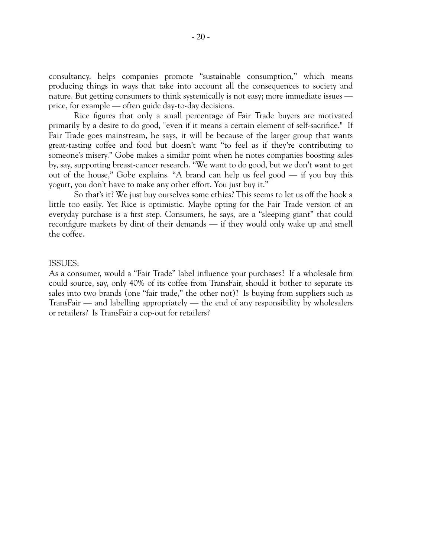consultancy, helps companies promote "sustainable consumption," which means pro ducing things in ways that take into account all the consequences to society and nature. But getting consumers to think systemically is not easy; more immediate issues price, for example — often guide day-to-day decisions.

Rice figures that only a small percentage of Fair Trade buyers are motivated primarily by a desire to do good, "even if it means a certain element of self-sacrifice." If Fair Trade goes mainstream, he says, it will be because of the larger group that wants great-tasting coffee and food but doesn't want "to feel as if they're contributing to someone's misery." Gobe makes a similar point when he notes companies boosting sales by, say, supporting breast-cancer research. "We want to do good, but we don't want to get out of the house," Gobe explains. "A brand can help us feel good — if you buy this yogurt, you don't have to make any other effort. You just buy it."

So that's it? We just buy ourselves some ethics? This seems to let us off the hook a little too easily. Yet Rice is optimistic. Maybe opting for the Fair Trade version of an everyday purchase is a first step. Consumers, he says, are a "sleeping giant" that could reconfigure markets by dint of their demands — if they would only wake up and smell the coffee.

# ISSUES:

As a consumer, would a "Fair Trade" label influence your purchases? If a wholesale firm could source, say, only 40% of its coffee from TransFair, should it bother to separate its sales into two brands (one "fair trade," the other not)? Is buying from suppliers such as TransFair — and labelling appropriately — the end of any responsibility by wholesalers or retailers? Is TransFair a cop-out for retailers?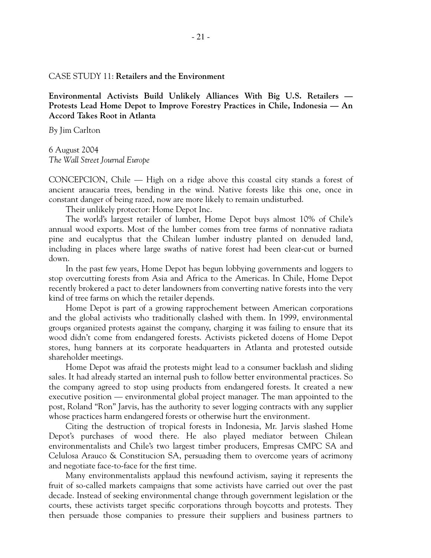# CASE STUDY 11: **Retailers and the Environment**

**Environmental Activists Build Unlikely Alliances With Big U.S. Retailers — Protests Lead Home Depot to Improve Forestry Practices in Chile, Indonesia — An Accord Takes Root in Atlanta**

*By* Jim Carlton

6 August 2004 *The Wall Street Journal Europe*

CONCEPCION, Chile — High on a ridge above this coastal city stands a forest of ancient araucaria trees, bending in the wind. Native forests like this one, once in constant danger of being razed, now are more likely to remain undisturbed.

Their unlikely protector: Home Depot Inc.

The world's largest retailer of lumber, Home Depot buys almost 10% of Chile's annual wood exports. Most of the lumber comes from tree farms of nonnative radiata pine and eucalyptus that the Chilean lumber industry planted on denuded land, including in places where large swaths of native forest had been clear-cut or burned down.

In the past few years, Home Depot has begun lobbying governments and loggers to stop overcutting forests from Asia and Africa to the Americas. In Chile, Home Depot recently brokered a pact to deter landowners from converting native forests into the very kind of tree farms on which the retailer depends.

Home Depot is part of a growing rapprochement between American corporations and the global activists who traditionally clashed with them. In 1999, environmental groups organized protests against the company, charging it was failing to ensure that its wood didn't come from endangered forests. Activists picketed dozens of Home Depot stores, hung banners at its corporate headquarters in Atlanta and protested outside shareholder meetings.

Home Depot was afraid the protests might lead to a consumer backlash and sliding sales. It had already started an internal push to follow better environmental practices. So the company agreed to stop using products from endangered forests. It created a new executive position — environmental global project manager. The man appointed to the post, Roland "Ron" Jarvis, has the authority to sever logging contracts with any supplier whose practices harm endangered forests or otherwise hurt the environment.

Citing the destruction of tropical forests in Indonesia, Mr. Jarvis slashed Home Depot's purchases of wood there. He also played mediator between Chilean environmentalists and Chile's two largest timber producers, Empresas CMPC SA and Celulosa Arauco & Constitucion SA, persuading them to overcome years of acrimony and negotiate face-to-face for the first time.

Many environmentalists applaud this newfound activism, saying it represents the fruit of so-called markets campaigns that some activists have carried out over the past decade. Instead of seeking environmental change through government legislation or the courts, these activists target specific corporations through boycotts and protests. They then persuade those companies to pressure their suppliers and business partners to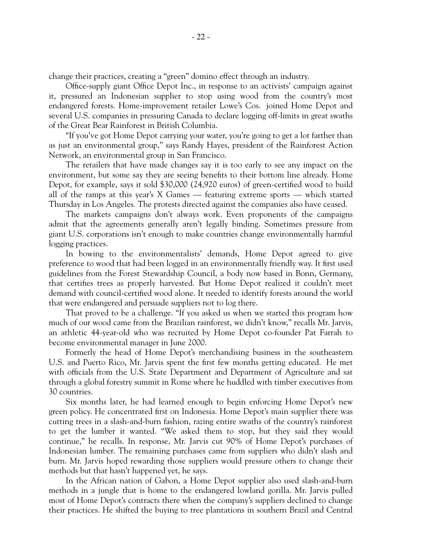change their practices, creating a "green" domino effect through an industry.

Office-supply giant Office Depot Inc., in response to an activists' campaign against it, pressured an Indonesian supplier to stop using wood from the country's most endangered forests. Home-improvement retailer Lowe's Cos. joined Home Depot and several U.S. companies in pressuring Canada to declare logging off-limits in great swaths of the Great Bear Rainforest in British Columbia.

"If you've got Home Depot carrying your water, you're going to get a lot farther than as just an environmental group," says Randy Hayes, president of the Rainforest Action Network, an environmental group in San Francisco.

The retailers that have made changes say it is too early to see any impact on the environment, but some say they are seeing benefits to their bottom line already. Home Depot, for example, says it sold \$30,000 (24,920 euros) of green-certified wood to build all of the ramps at this year's  $X$  Games — featuring extreme sports — which started Thursday in Los Angeles. The protests directed against the companies also have ceased.

The markets campaigns don't always work. Even proponents of the campaigns admit that the agreements generally aren't legally binding. Sometimes pressure from giant U.S. corporations isn't enough to make countries change environmentally harmful logging practices.

In bowing to the environmentalists' demands, Home Depot agreed to give preference to wood that had been logged in an environmentally friendly way. It first used guidelines from the Forest Stewardship Council, a body now based in Bonn, Germany, that certifies trees as properly harvested. But Home Depot realized it couldn't meet demand with council-certified wood alone. It needed to identify forests around the world that were endangered and persuade suppliers not to log there.

That proved to be a challenge. "If you asked us when we started this program how much of our wood came from the Brazilian rainforest, we didn't know," recalls Mr. Jarvis, an athletic 44-year-old who was recruited by Home Depot co-founder Pat Farrah to become environmental manager in June 2000.

Formerly the head of Home Depot's merchandising business in the southeastern U.S. and Puerto Rico, Mr. Jarvis spent the first few months getting educated. He met with officials from the U.S. State Department and Department of Agriculture and sat through a global forestry summit in Rome where he huddled with timber executives from 30 countries.

Six months later, he had learned enough to begin enforcing Home Depot's new green policy. He concentrated first on Indonesia. Home Depot's main supplier there was cutting trees in a slash-and-burn fashion, razing entire swaths of the country's rainforest to get the lumber it wanted. "We asked them to stop, but they said they would continue," he recalls. In response, Mr. Jarvis cut 90% of Home Depot's purchases of Indonesian lumber. The remaining purchases came from suppliers who didn't slash and burn. Mr. Jarvis hoped rewarding those suppliers would pressure others to change their methods but that hasn't happened yet, he says.

In the African nation of Gabon, a Home Depot supplier also used slash-and-burn methods in a jungle that is home to the endangered lowland gorilla. Mr. Jarvis pulled most of Home Depot's contracts there when the company's suppliers declined to change their practices. He shifted the buying to tree plantations in southern Brazil and Central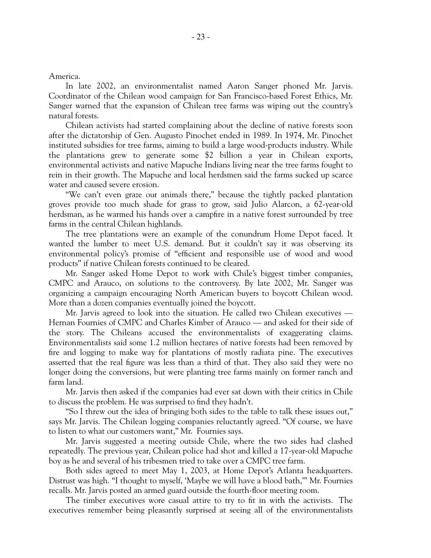America.

In late 2002, an environmentalist named Aaron Sanger phoned Mr. Jarvis. Coordinator of the Chilean wood campaign for San Francisco-based Forest Ethics, Mr. Sanger warned that the expansion of Chilean tree farms was wiping out the country's natural forests.

Chilean activists had started complaining about the decline of native forests soon after the dictatorship of Gen. Augusto Pinochet ended in 1989. In 1974, Mr. Pinochet instituted subsidies for tree farms, aiming to build a large wood-products industry. While the plantations grew to generate some \$2 billion a year in Chilean exports, environmental activists and native Mapuche Indians living near the tree farms fought to rein in their growth. The Mapuche and local herdsmen said the farms sucked up scarce water and caused severe erosion.

"We can't even graze our animals there," because the tightly packed plantation groves provide too much shade for grass to grow, said Julio Alarcon, a 62-year-old herdsman, as he warmed his hands over a campfire in a native forest surrounded by tree farms in the central Chilean highlands.

The tree plantations were an example of the conundrum Home Depot faced. It wanted the lumber to meet U.S. demand. But it couldn't say it was observing its environmental policy's promise of "efficient and responsible use of wood and wood products" if native Chilean forests continued to be cleared.

Mr. Sanger asked Home Depot to work with Chile's biggest timber companies, CMPC and Arauco, on solutions to the controversy. By late 2002, Mr. Sanger was organizing a campaign encouraging North American buyers to boycott Chilean wood. More than a dozen companies eventually joined the boycott.

Mr. Jarvis agreed to look into the situation. He called two Chilean executives — Hernan Fournies of CMPC and Charles Kimber of Arauco — and asked for their side of the story. The Chileans accused the environmentalists of exaggerating claims. Environmentalists said some 1.2 million hectares of native forests had been removed by fire and logging to make way for plantations of mostly radiata pine. The executives asserted that the real figure was less than a third of that. They also said they were no longer doing the conversions, but were planting tree farms mainly on former ranch and farm land.

Mr. Jarvis then asked if the companies had ever sat down with their critics in Chile to discuss the problem. He was surprised to find they hadn't.

"So I threw out the idea of bringing both sides to the table to talk these issues out," says Mr. Jarvis. The Chilean logging companies reluctantly agreed. "Of course, we have to listen to what our customers want," Mr. Fournies says.

Mr. Jarvis suggested a meeting outside Chile, where the two sides had clashed repeatedly. The previous year, Chilean police had shot and killed a 17-year-old Mapuche boy as he and several of his tribesmen tried to take over a CMPC tree farm.

Both sides agreed to meet May 1, 2003, at Home Depot's Atlanta headquarters. Distrust was high. "I thought to myself, 'Maybe we will have a blood bath,'" Mr. Fournies recalls. Mr. Jarvis posted an armed guard outside the fourth-floor meeting room.

The timber executives wore casual attire to try to fit in with the activists. The executives remember being pleasantly surprised at seeing all of the environmentalists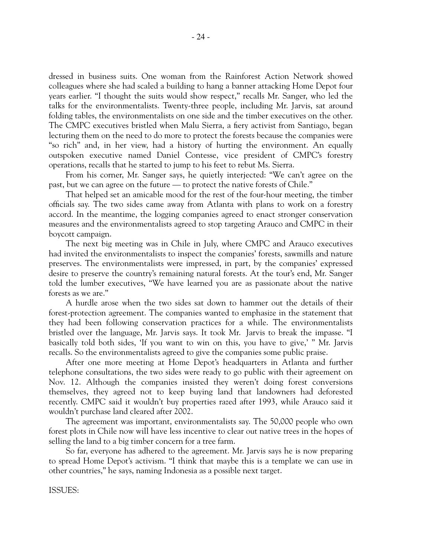dressed in business suits. One woman from the Rainforest Action Network showed colleagues where she had scaled a building to hang a banner attacking Home Depot four years earlier. "I thought the suits would show respect," recalls Mr. Sanger, who led the talks for the environmentalists. Twenty-three people, including Mr. Jarvis, sat around folding tables, the environmentalists on one side and the timber executives on the other. The CMPC executives bristled when Malu Sierra, a fiery activist from Santiago, began lecturing them on the need to do more to protect the forests because the companies were "so rich" and, in her view, had a history of hurting the environment. An equally outspoken executive named Daniel Contesse, vice president of CMPC's forestry operations, recalls that he started to jump to his feet to rebut Ms. Sierra.

From his corner, Mr. Sanger says, he quietly interjected: "We can't agree on the past, but we can agree on the future — to protect the native forests of Chile."

That helped set an amicable mood for the rest of the four-hour meeting, the timber officials say. The two sides came away from Atlanta with plans to work on a forestry accord. In the meantime, the logging companies agreed to enact stronger conservation measures and the environmentalists agreed to stop targeting Arauco and CMPC in their boycott campaign.

The next big meeting was in Chile in July, where CMPC and Arauco executives had invited the environmentalists to inspect the companies' forests, sawmills and nature preserves. The environmentalists were impressed, in part, by the companies' expressed desire to preserve the country's remaining natural forests. At the tour's end, Mr. Sanger told the lumber executives, "We have learned you are as passionate about the native forests as we are."

A hurdle arose when the two sides sat down to hammer out the details of their forest-protection agreement. The companies wanted to emphasize in the statement that they had been following conservation practices for a while. The environmentalists bristled over the language, Mr. Jarvis says. It took Mr. Jarvis to break the impasse. "I basically told both sides, 'If you want to win on this, you have to give,' " Mr. Jarvis recalls. So the environmentalists agreed to give the companies some public praise.

After one more meeting at Home Depot's headquarters in Atlanta and further telephone consultations, the two sides were ready to go public with their agreement on Nov. 12. Although the companies insisted they weren't doing forest conversions themselves, they agreed not to keep buying land that landowners had deforested recently. CMPC said it wouldn't buy properties razed after 1993, while Arauco said it wouldn't purchase land cleared after 2002.

The agreement was important, environmentalists say. The 50,000 people who own forest plots in Chile now will have less incentive to clear out native trees in the hopes of selling the land to a big timber concern for a tree farm.

So far, everyone has adhered to the agreement. Mr. Jarvis says he is now preparing to spread Home Depot's activism. "I think that maybe this is a template we can use in other countries," he says, naming Indonesia as a possible next target.

ISSUES: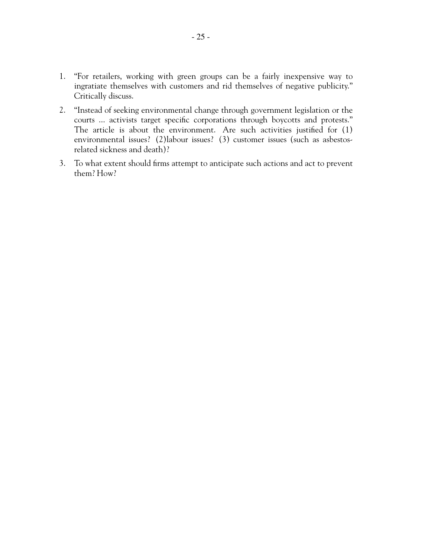- 1. "For retailers, working with green groups can be a fairly inexpensive way to ingratiate themselves with customers and rid themselves of negative publicity." Critically discuss.
- 2. "Instead of seeking environmental change through government legislation or the courts ... activists target specific corporations through boycotts and protests." The article is about the environment. Are such activities justified for (1) environmental issues? (2)labour issues? (3) customer issues (such as asbestosrelated sickness and death)?
- 3. To what extent should firms attempt to anticipate such actions and act to prevent them? How?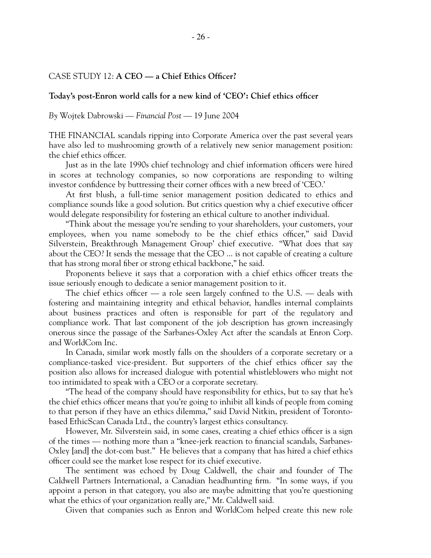# CASE STUDY 12: **A CEO — a Chief Ethics Officer?**

# **Today's post-Enron world calls for a new kind of 'CEO': Chief ethics officer**

*By* Wojtek Dabrowski — *Financial Post* — 19 June 2004

THE FINANCIAL scandals ripping into Corporate America over the past several years have also led to mushrooming growth of a relatively new senior management position: the chief ethics officer.

Just as in the late 1990s chief technology and chief information officers were hired in scores at technology companies, so now corporations are responding to wilting investor confidence by buttressing their corner offices with a new breed of 'CEO.'

At first blush, a full-time senior management position dedicated to ethics and compliance sounds like a good solution. But critics question why a chief executive officer would delegate responsibility for fostering an ethical culture to another individual.

"Think about the message you're sending to your shareholders, your customers, your employees, when you name somebody to be the chief ethics officer," said David Silverstein, Breakthrough Management Group' chief executive. "What does that say about the CEO? It sends the message that the CEO ... is not capable of creating a culture that has strong moral fiber or strong ethical backbone," he said.

Proponents believe it says that a corporation with a chief ethics officer treats the issue seriously enough to dedicate a senior management position to it.

The chief ethics officer — a role seen largely confined to the U.S. — deals with fostering and maintaining integrity and ethical behavior, handles internal complaints about business practices and often is responsible for part of the regulatory and compliance work. That last component of the job description has grown increasingly onerous since the passage of the Sarbanes-Oxley Act after the scandals at Enron Corp. and WorldCom Inc.

In Canada, similar work mostly falls on the shoulders of a corporate secretary or a compliance-tasked vice-president. But supporters of the chief ethics officer say the position also allows for increased dialogue with potential whistleblowers who might not too intimidated to speak with a CEO or a corporate secretary.

"The head of the company should have responsibility for ethics, but to say that he's the chief ethics officer means that you're going to inhibit all kinds of people from coming to that person if they have an ethics dilemma," said David Nitkin, president of Torontobased EthicScan Canada Ltd., the country's largest ethics consultancy.

However, Mr. Silverstein said, in some cases, creating a chief ethics officer is a sign of the times — nothing more than a "knee-jerk reaction to financial scandals, Sarbanes-Oxley [and] the dot-com bust." He believes that a company that has hired a chief ethics officer could see the market lose respect for its chief executive.

The sentiment was echoed by Doug Caldwell, the chair and founder of The Caldwell Partners International, a Canadian headhunting firm. "In some ways, if you appoint a person in that category, you also are maybe admitting that you're questioning what the ethics of your organization really are," Mr. Caldwell said.

Given that companies such as Enron and WorldCom helped create this new role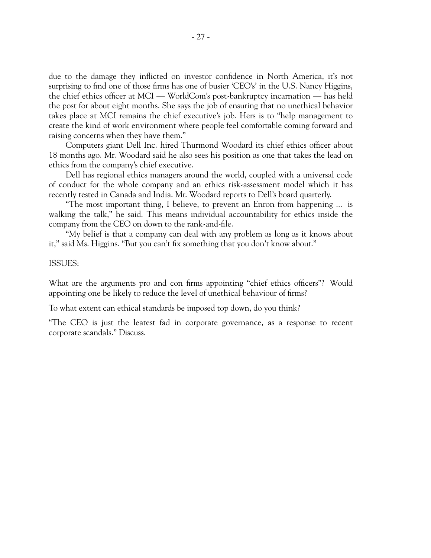due to the damage they inflicted on investor confidence in North America, it's not surprising to find one of those firms has one of busier 'CEO's' in the U.S. Nancy Higgins, the chief ethics officer at MCI — WorldCom's post-bankruptcy incarnation — has held the post for about eight months. She says the job of ensuring that no unethical behavior takes place at MCI remains the chief executive's job. Hers is to "help management to create the kind of work environment where people feel comfortable coming forward and raising concerns when they have them."

Computers giant Dell Inc. hired Thurmond Woodard its chief ethics officer about 18 months ago. Mr. Woodard said he also sees his position as one that takes the lead on ethics from the company's chief executive.

Dell has regional ethics managers around the world, coupled with a universal code of conduct for the whole company and an ethics risk-assessment model which it has recently tested in Canada and India. Mr. Woodard reports to Dell's board quarterly.

"The most important thing, I believe, to prevent an Enron from happening ... is walking the talk," he said. This means individual accountability for ethics inside the company from the CEO on down to the rank-and-file.

"My belief is that a company can deal with any problem as long as it knows about it," said Ms. Higgins. "But you can't fix something that you don't know about."

# ISSUES:

What are the arguments pro and con firms appointing "chief ethics officers"? Would appointing one be likely to reduce the level of unethical behaviour of firms?

To what extent can ethical standards be imposed top down, do you think?

"The CEO is just the leatest fad in corporate governance, as a response to recent corporate scandals." Discuss.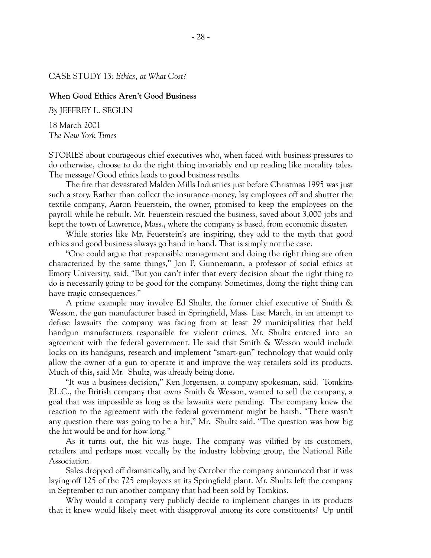CASE STUDY 13: *Ethics, at What Cost?*

# **When Good Ethics Aren't Good Business**

**By** JEFFREY L. SEGLIN

18 March 2001 *The New York Times*

STO RIES about courageous chief executives who, when faced with business pressures to do otherwise, choose to do the right thing invariably end up reading like morality tales. The message? Good ethics leads to good business results.

The fire that devastated Malden Mills Industries just before Christmas 1995 was just such a story. Rather than collect the insurance money, lay employees off and shutter the textile company, Aaron Feuerstein, the owner, promised to keep the employees on the payroll while he rebuilt. Mr. Feuerstein rescued the business, saved about 3,000 jobs and kept the town of Lawrence, Mass., where the company is based, from economic disaster.

While stories like Mr. Feuerstein's are inspiring, they add to the myth that good ethics and good business always go hand in hand. That is simply not the case.

"One could argue that responsible management and doing the right thing are often characterized by the same things,'' Jon P. Gunnemann, a professor of social ethics at Emory University, said. "But you can't infer that every decision about the right thing to do is necessarily going to be good for the company. Sometimes, doing the right thing can have tragic consequences.''

A prime example may involve Ed Shultz, the former chief executive of Smith & Wesson, the gun manufacturer based in Springfield, Mass. Last March, in an attempt to defuse lawsuits the company was facing from at least 29 municipalities that held handgun manufacturers responsible for violent crimes, Mr. Shultz entered into an agreement with the federal government. He said that Smith & Wesson would include locks on its handguns, research and implement "smart-gun'' technology that would only allow the owner of a gun to operate it and improve the way retailers sold its products. Much of this, said Mr. Shultz, was already being done.

"It was a business decision,'' Ken Jorgensen, a company spokesman, said. Tomkins P.L.C., the British company that owns Smith & Wesson, wanted to sell the company, a goal that was impossible as long as the lawsuits were pending. The company knew the reaction to the agreement with the federal government might be harsh. "There wasn't any question there was going to be a hit,'' Mr. Shultz said. "The question was how big the hit would be and for how long.''

As it turns out, the hit was huge. The company was vilified by its customers, retailers and perhaps most vocally by the industry lobbying group, the National Rifle Association.

Sales dropped off dramatically, and by October the company announced that it was laying off 125 of the 725 employees at its Springfield plant. Mr. Shultz left the company in September to run another company that had been sold by Tomkins.

Why would a company very publicly decide to implement changes in its products that it knew would likely meet with disapproval among its core constituents? Up until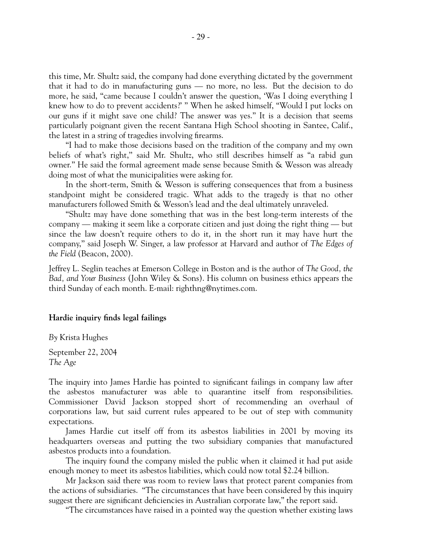this time, Mr. Shultz said, the company had done everything dictated by the government that it had to do in manufacturing guns — no more, no less. But the decision to do more, he said, "came because I couldn't answer the question, 'Was I doing everything I knew how to do to prevent accidents?' '' When he asked himself, "Would I put locks on our guns if it might save one child? The answer was yes.'' It is a decision that seems particularly poignant given the recent Santana High School shooting in Santee, Calif., the latest in a string of tragedies involving firearms.

"I had to make those decisions based on the tradition of the company and my own beliefs of what's right,'' said Mr. Shultz, who still describes himself as "a rabid gun owner.'' He said the formal agreement made sense because Smith & Wesson was already doing most of what the municipalities were asking for.

In the short-term, Smith & Wesson is suffering consequences that from a business standpoint might be considered tragic. What adds to the tragedy is that no other manufacturers followed Smith & Wesson's lead and the deal ultimately unraveled.

"Shultz may have done something that was in the best long-term interests of the company — making it seem like a corporate citizen and just doing the right thing — but since the law doesn't require others to do it, in the short run it may have hurt the company," said Joseph W. Singer, a law professor at Harvard and author of *The Edges of the Field* (Beacon, 2000).

Jeffrey L. Seglin teaches at Emerson College in Boston and is the author of *The Good, the Bad, and Your Business* (John Wiley & Sons). His column on business ethics appears the third Sunday of each month. E-mail: righthng@nytimes.com.

#### **Hardie inquiry finds legal failings**

*By* Krista Hughes

September 22, 2004 *The Age*

The inquiry into James Hardie has pointed to significant failings in company law after the asbestos manufacturer was able to quarantine itself from responsibilities. Commissioner David Jackson stopped short of recommending an overhaul of corporations law, but said current rules appeared to be out of step with community expectations.

James Hardie cut itself off from its asbestos liabilities in 2001 by moving its headquarters overseas and putting the two subsidiary companies that manufactured asbestos products into a foundation.

The inquiry found the company misled the public when it claimed it had put aside enough money to meet its asbestos liabilities, which could now total \$2.24 billion.

Mr Jackson said there was room to review laws that protect parent companies from the actions of subsidiaries. "The circumstances that have been considered by this inquiry suggest there are significant deficiencies in Australian corporate law," the report said.

"The circumstances have raised in a pointed way the question whether existing laws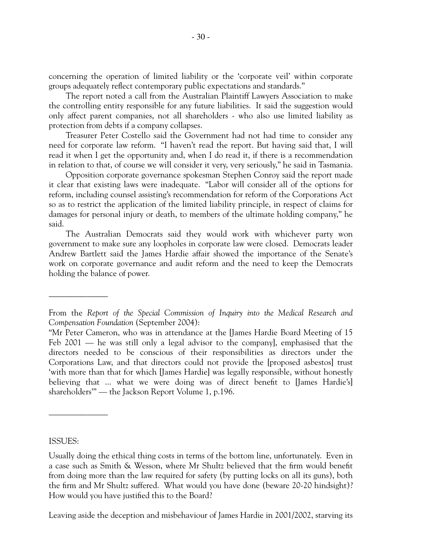concerning the operation of limited liability or the 'corporate veil' within corporate groups adequately reflect contemporary public expectations and standards."

The report noted a call from the Australian Plaintiff Lawyers Association to make the controlling entity responsible for any future liabilities. It said the suggestion would only affect parent companies, not all shareholders - who also use limited liability as protection from debts if a company collapses.

Treasurer Peter Costello said the Government had not had time to consider any need for corporate law reform. "I haven't read the report. But having said that, I will read it when I get the opportunity and, when I do read it, if there is a recommendation in relation to that, of course we will consider it very, very seriously," he said in Tasmania.

Opposition corporate governance spokesman Stephen Conroy said the report made it clear that existing laws were inadequate. "Labor will consider all of the options for reform, including counsel assisting's recommendation for reform of the Corporations Act so as to restrict the application of the limited liability principle, in respect of claims for damages for personal injury or death, to members of the ultimate holding company," he said.

The Australian Democrats said they would work with whichever party won government to make sure any loopholes in corporate law were closed. Democrats leader Andrew Bartlett said the James Hardie affair showed the importance of the Senate's work on corporate governance and audit reform and the need to keep the Democrats holding the balance of power.

ISSUES:

\_\_\_\_\_\_\_\_\_\_\_\_\_\_

\_\_\_\_\_\_\_\_\_\_\_\_\_\_

Leaving aside the deception and misbehaviour of James Hardie in 2001/2002, starving its

From the *Report of the Special Commission of Inquiry into the Medical Research and Compensation Foundation* (September 2004):

<sup>&</sup>quot;Mr Peter Cameron, who was in attendance at the [James Hardie Board Meeting of 15 Feb 2001 — he was still only a legal advisor to the company], emphasised that the directors needed to be conscious of their responsibilities as directors under the Corporations Law, and that directors could not provide the [proposed asbestos] trust 'with more than that for which [James Hardie] was legally responsible, without honestly believing that ... what we were doing was of direct benefit to [James Hardie's] shareholders'" — the Jackson Report Volume 1, p.196.

Usually doing the ethical thing costs in terms of the bottom line, unfortunately. Even in a case such as Smith & Wesson, where Mr Shultz believed that the firm would benefit from doing more than the law required for safety (by putting locks on all its guns), both the firm and Mr Shultz suffered. What would you have done (beware 20-20 hindsight)? How would you have justified this to the Board?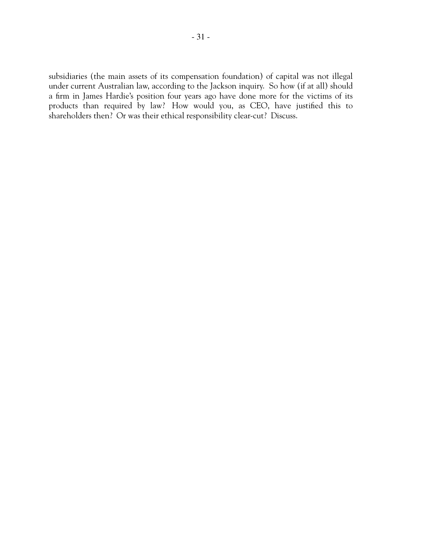subsidiaries (the main assets of its compensation foundation) of capital was not illegal under current Australian law, according to the Jackson inquiry. So how (if at all) should a firm in James Hardie's position four years ago have done more for the victims of its products than required by law? How would you, as CEO, have justified this to shareholders then? Or was their ethical responsibility clear-cut? Discuss.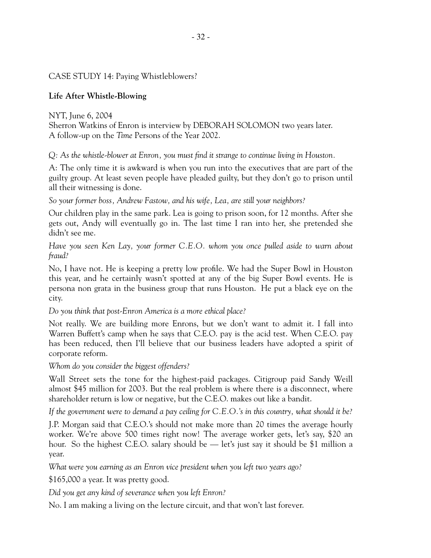# CASE STUDY 14: Paying Whistleblowers?

# **Life After Whistle-Blowing**

NYT, June 6, 2004 Sherron Watkins of Enron is interview by DEBORAH SOLOMON two years later. A follow-up on the *Time* Persons of the Year 2002.

*Q: As the whistle-blower at Enron, you must find it strange to continue living in Houston.*

A: The only time it is awkward is when you run into the executives that are part of the guilty group. At least seven people have pleaded guilty, but they don't go to prison until all their witnessing is done.

*So your former boss, Andrew Fastow, and his wife, Lea, are still your neighbors?*

Our children play in the same park. Lea is going to prison soon, for 12 months. After she gets out, Andy will eventually go in. The last time I ran into her, she pretended she didn't see me.

*Have you seen Ken Lay, your former C.E.O. whom you once pulled aside to warn about fraud?*

No, I have not. He is keeping a pretty low profile. We had the Super Bowl in Houston this year, and he certainly wasn't spotted at any of the big Super Bowl events. He is persona non grata in the business group that runs Houston. He put a black eye on the city.

# *Do you think that post-Enron America is a more ethical place?*

Not really. We are building more Enrons, but we don't want to admit it. I fall into Warren Buffett's camp when he says that C.E.O. pay is the acid test. When C.E.O. pay has been reduced, then I'll believe that our business leaders have adopted a spirit of corporate reform.

*Whom do you consider the biggest offenders?*

Wall Street sets the tone for the highest-paid packages. Citigroup paid Sandy Weill almost \$45 million for 2003. But the real problem is where there is a disconnect, where shareholder return is low or negative, but the C.E.O. makes out like a bandit.

*If the government were to demand a pay ceiling for C.E.O.'s in this country, what should it be?*

J.P. Morgan said that C.E.O.'s should not make more than 20 times the average hourly worker. We're above 500 times right now! The average worker gets, let's say, \$20 an hour. So the highest C.E.O. salary should be — let's just say it should be \$1 million a year.

*What were you earning as an Enron vice president when you left two years ago?*

\$165,000 a year. It was pretty good.

*Did you get any kind of severance when you left Enron?*

No. I am making a living on the lecture circuit, and that won't last forever.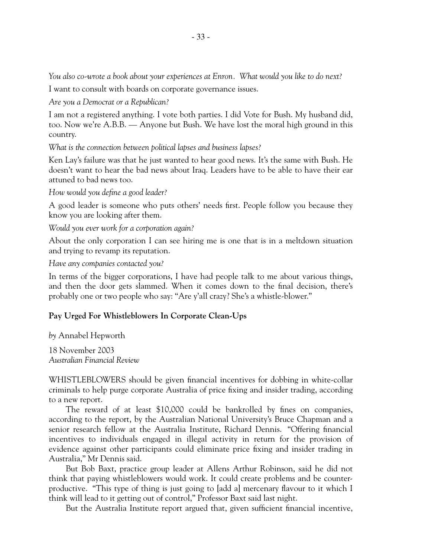*You also co-wrote a book about your experiences at Enron. What would you like to do next?*

I want to consult with boards on corporate governance issues.

*Are you a Democrat or a Republican?*

I am not a registered anything. I vote both parties. I did Vote for Bush. My husband did, too. Now we're A.B.B. — Anyone but Bush. We have lost the moral high ground in this country.

*What is the connection between political lapses and business lapses?*

Ken Lay's failure was that he just wanted to hear good news. It's the same with Bush. He doesn't want to hear the bad news about Iraq. Leaders have to be able to have their ear attuned to bad news too.

*How would you define a good leader?*

A good leader is someone who puts others' needs first. People follow you because they know you are looking after them.

*Would you ever work for a corporation again?*

About the only corporation I can see hiring me is one that is in a meltdown situation and trying to revamp its reputation.

*Have any companies contacted you?*

In terms of the bigger corporations, I have had people talk to me about various things, and then the door gets slammed. When it comes down to the final decision, there's probably one or two people who say: "Are y'all crazy? She's a whistle-blower."

# **Pay Urged For Whistleblowers In Corporate Clean-Ups**

*by* Annabel Hepworth

18 November 2003 *Australian Financial Review*

WHISTLEBLOWERS should be given financial incentives for dobbing in white-collar criminals to help purge corporate Australia of price fixing and insider trading, according to a new report.

The reward of at least \$10,000 could be bankrolled by fines on companies, according to the report, by the Australian National University's Bruce Chapman and a senior research fellow at the Australia Institute, Richard Dennis. "Offering financial incentives to individuals engaged in illegal activity in return for the provision of evidence against other participants could eliminate price fixing and insider trading in Australia," Mr Dennis said.

But Bob Baxt, practice group leader at Allens Arthur Robinson, said he did not think that paying whistleblowers would work. It could create problems and be counterproductive. "This type of thing is just going to [add a] mercenary flavour to it which I think will lead to it getting out of control," Professor Baxt said last night.

But the Australia Institute report argued that, given sufficient financial incentive,